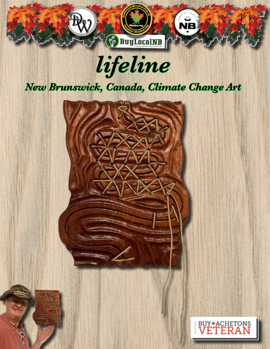

*lifeline* 

## *New Brunswick, Canada, Climate Change Art*



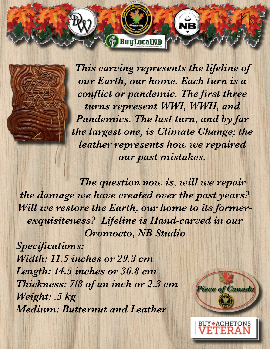*This carving represents the lifeline of our Earth, our home. Each turn is a conflict or pandemic. The first three turns represent WWI, WWII, and Pandemics. The last turn, and by far the largest one, is Climate Change; the leather represents how we repaired our past mistakes.* 

*The question now is, will we repair the damage we have created over the past years? Will we restore the Earth, our home to its formerexquisiteness? Lifeline is Hand-carved in our Oromocto, NB Studio* 

 $\sqrt[3]{}$  BuyLocalNB

*Specifications: Width: 11.5 inches or 29.3 cm Length: 14.5 inches or 36.8 cm Thickness: 7/8 of an inch or 2.3 cm Weight: .5 kg Medium: Butternut and Leather* 



**BUY + ACHETONS**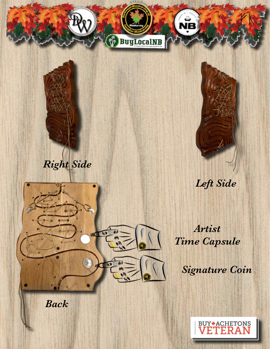

*Back*